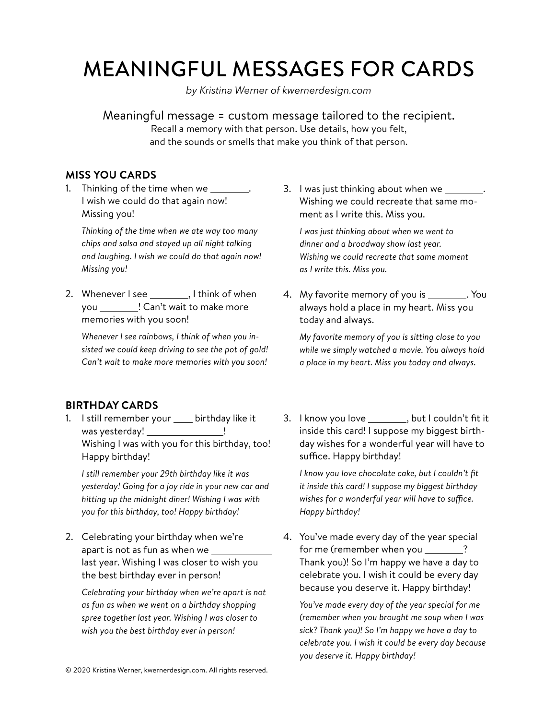## MEANINGFUL MESSAGES FOR CARDS

*by Kristina Werner of kwernerdesign.com*

Meaningful message = custom message tailored to the recipient. Recall a memory with that person. Use details, how you felt, and the sounds or smells that make you think of that person.

## **MISS YOU CARDS**

1. Thinking of the time when we I wish we could do that again now! Missing you!

*Thinking of the time when we ate way too many chips and salsa and stayed up all night talking and laughing. I wish we could do that again now! Missing you!*

2. Whenever I see , I think of when you ! Can't wait to make more memories with you soon!

*Whenever I see rainbows, I think of when you insisted we could keep driving to see the pot of gold! Can't wait to make more memories with you soon!*

## **BIRTHDAY CARDS**

1. I still remember your \_\_\_\_ birthday like it was yesterday! Wishing I was with you for this birthday, too! Happy birthday!

*I still remember your 29th birthday like it was yesterday! Going for a joy ride in your new car and hitting up the midnight diner! Wishing I was with you for this birthday, too! Happy birthday!*

2. Celebrating your birthday when we're apart is not as fun as when we last year. Wishing I was closer to wish you the best birthday ever in person!

*Celebrating your birthday when we're apart is not as fun as when we went on a birthday shopping spree together last year. Wishing I was closer to wish you the best birthday ever in person!*

3. I was just thinking about when we \_\_\_\_\_ Wishing we could recreate that same moment as I write this. Miss you.

*I was just thinking about when we went to dinner and a broadway show last year. Wishing we could recreate that same moment as I write this. Miss you.*

4. My favorite memory of you is \_\_\_\_\_\_\_\_. You always hold a place in my heart. Miss you today and always.

*My favorite memory of you is sitting close to you while we simply watched a movie. You always hold a place in my heart. Miss you today and always.* 

3. I know you love \_\_\_\_\_\_\_\_, but I couldn't fit it inside this card! I suppose my biggest birthday wishes for a wonderful year will have to suffice. Happy birthday!

*I know you love chocolate cake, but I couldn't fit it inside this card! I suppose my biggest birthday wishes for a wonderful year will have to suffice. Happy birthday!*

4. You've made every day of the year special for me (remember when you \_\_\_\_\_\_? Thank you)! So I'm happy we have a day to celebrate you. I wish it could be every day because you deserve it. Happy birthday!

*You've made every day of the year special for me (remember when you brought me soup when I was sick? Thank you)! So I'm happy we have a day to celebrate you. I wish it could be every day because you deserve it. Happy birthday!*